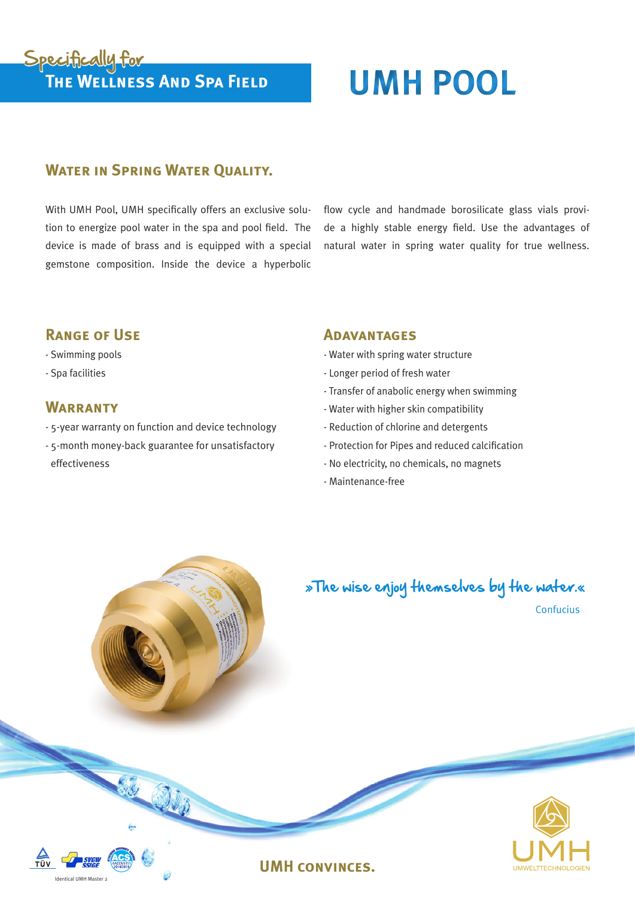# **The Wellness And Spa Field UMH POOL** Specifically for

### **WATER IN SPRING WATER OUALITY.**

With UMH Pool, UMH specifically offers an exclusive solution to energize pool water in the spa and pool field. The device is made of brass and is equipped with a special gemstone composition. Inside the device a hyperbolic

flow cycle and handmade borosilicate glass vials provide a highly stable energy field. Use the advantages of natural water in spring water quality for true wellness.

#### **Range of Use**

#### - Swimming pools

- Spa facilities

#### **WARRANTY**

Identical UMH Master 2

 $\overline{\text{min}}$ 

- 5-year warranty on function and device technology
- 5-month money-back guarantee for unsatisfactory effectiveness

#### **Adavantages**

- Water with spring water structure
- Longer period of fresh water
- Transfer of anabolic energy when swimming
- Water with higher skin compatibility
- Reduction of chlorine and detergents
- Protection for Pipes and reduced calcification
- No electricity, no chemicals, no magnets
- Maintenance-free

**UMH convinces.**